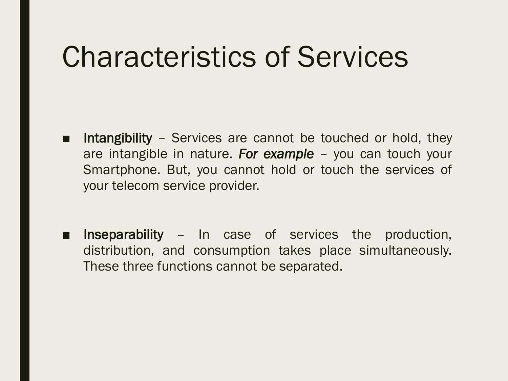## Characteristics of Services

- Intangibility Services are cannot be touched or hold, they are intangible in nature. *For example* – you can touch your Smartphone. But, you cannot hold or touch the services of your telecom service provider.
- Inseparability In case of services the production, distribution, and consumption takes place simultaneously. These three functions cannot be separated.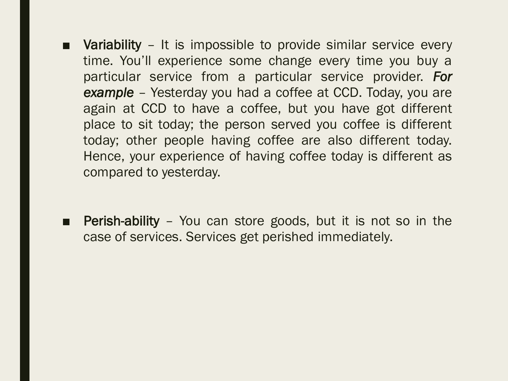- Variability It is impossible to provide similar service every time. You'll experience some change every time you buy a particular service from a particular service provider. *For example* – Yesterday you had a coffee at CCD. Today, you are again at CCD to have a coffee, but you have got different place to sit today; the person served you coffee is different today; other people having coffee are also different today. Hence, your experience of having coffee today is different as compared to yesterday.
- Perish-ability You can store goods, but it is not so in the case of services. Services get perished immediately.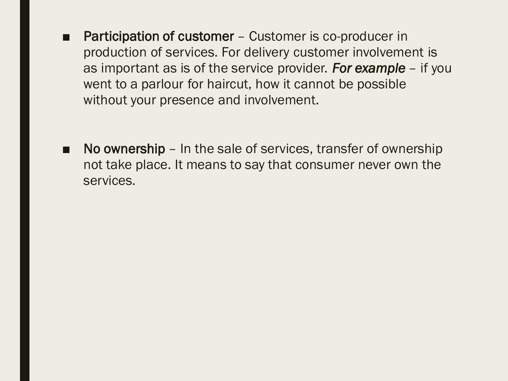- Participation of customer Customer is co-producer in production of services. For delivery customer involvement is as important as is of the service provider. *For example* – if you went to a parlour for haircut, how it cannot be possible without your presence and involvement.
- No ownership In the sale of services, transfer of ownership not take place. It means to say that consumer never own the services.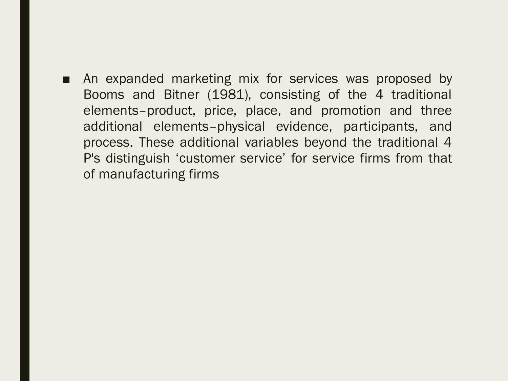■ An expanded marketing mix for services was proposed by Booms and Bitner (1981), consisting of the 4 traditional elements–product, price, place, and promotion and three additional elements–physical evidence, participants, and process. These additional variables beyond the traditional 4 P's distinguish 'customer service' for service firms from that of manufacturing firms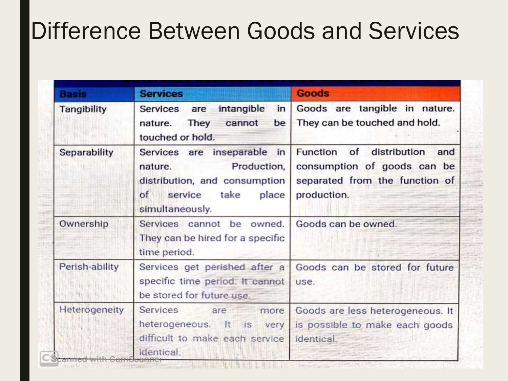### Difference Between Goods and Services

| <b>Basis</b>        | <b>Services</b>                                                                                                                             | <b>Goods</b>                                                                                                    |
|---------------------|---------------------------------------------------------------------------------------------------------------------------------------------|-----------------------------------------------------------------------------------------------------------------|
| Tangibility         | intangible<br>in<br>Services are<br><b>They</b><br>cannot<br>be<br>nature.<br>touched or hold.                                              | Goods are tangible in nature.<br>They can be touched and hold.                                                  |
| <b>Separability</b> | Services are inseparable in<br>Production,<br>nature.<br>distribution, and consumption<br>take<br>place<br>of<br>service<br>simultaneously. | Function of<br>distribution and<br>consumption of goods can be<br>separated from the function of<br>production. |
| Ownership           | Services cannot be owned.<br>They can be hired for a specific<br>time period.                                                               | Goods can be owned.                                                                                             |
| Perish-ability      | Services get perished after a<br>specific time period. It cannot<br>be stored for future use.                                               | Goods can be stored for future<br>use.                                                                          |
| Heterogeneity       | Services are more<br>heterogeneous. It is very<br>difficult to make each service<br>identical.                                              | Goods are less heterogeneous. It<br>is possible to make each goods<br>identical.                                |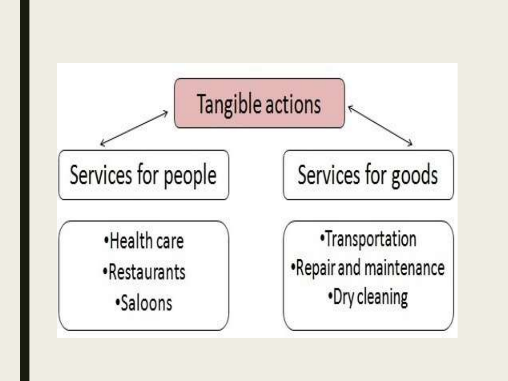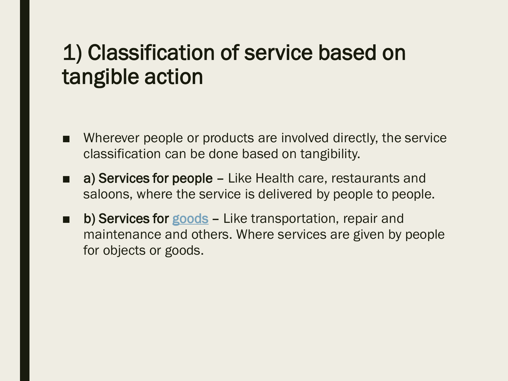#### 1) Classification of service based on tangible action

- Wherever people or products are involved directly, the service classification can be done based on tangibility.
- a) Services for people Like Health care, restaurants and saloons, where the service is delivered by people to people.
- b) Services for [goods](https://www.marketing91.com/difference-between-goods-and-services/) Like transportation, repair and maintenance and others. Where services are given by people for objects or goods.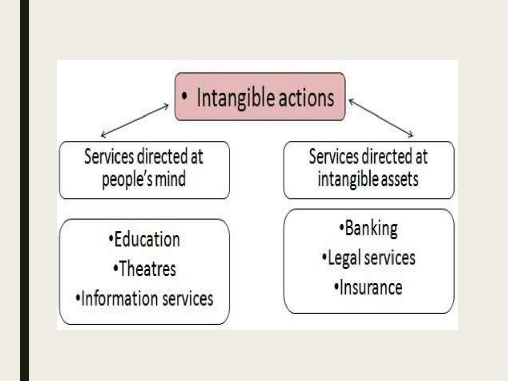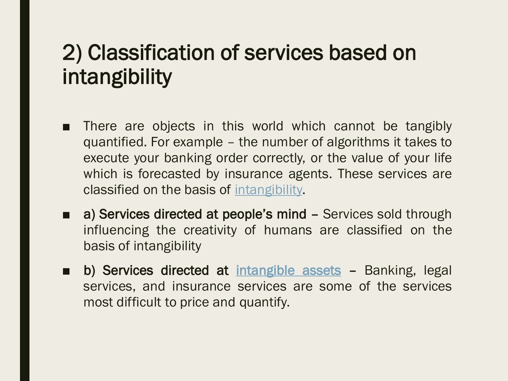#### 2) Classification of services based on intangibility

- There are objects in this world which cannot be tangibly quantified. For example – the number of algorithms it takes to execute your banking order correctly, or the value of your life which is forecasted by insurance agents. These services are classified on the basis of [intangibility.](https://www.marketing91.com/intangibility-in-services/)
- a) Services directed at people's mind Services sold through influencing the creativity of humans are classified on the basis of intangibility
- b) Services directed at [intangible](https://www.marketing91.com/intangible-asset/) assets Banking, legal services, and insurance services are some of the services most difficult to price and quantify.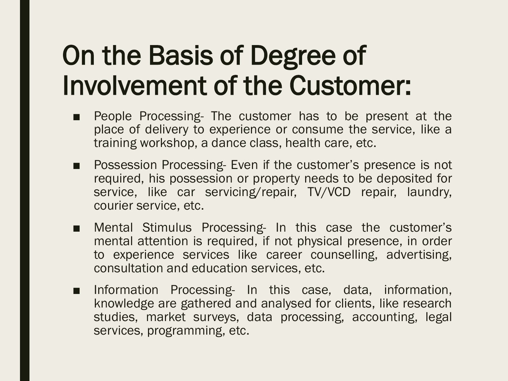## On the Basis of Degree of Involvement of the Customer:

- People Processing- The customer has to be present at the place of delivery to experience or consume the service, like a training workshop, a dance class, health care, etc.
- Possession Processing- Even if the customer's presence is not required, his possession or property needs to be deposited for service, like car servicing/repair, TV/VCD repair, laundry, courier service, etc.
- Mental Stimulus Processing- In this case the customer's mental attention is required, if not physical presence, in order to experience services like career counselling, advertising, consultation and education services, etc.
- Information Processing- In this case, data, information, knowledge are gathered and analysed for clients, like research studies, market surveys, data processing, accounting, legal services, programming, etc.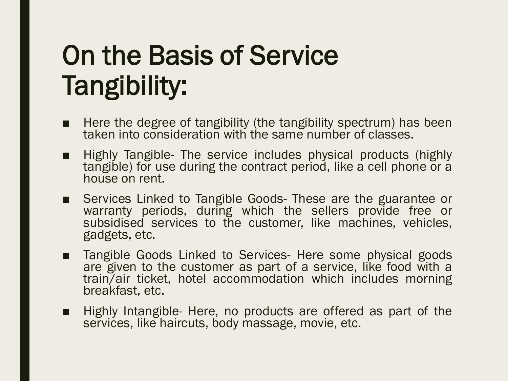# On the Basis of Service Tangibility:

- Here the degree of tangibility (the tangibility spectrum) has been taken into consideration with the same number of classes.
- Highly Tangible- The service includes physical products (highly tangible) for use during the contract period, like a cell phone or a house on rent.
- Services Linked to Tangible Goods- These are the guarantee or warranty periods, during which the sellers provide free or subsidised services to the customer, like machines, vehicles, gadgets, etc.
- Tangible Goods Linked to Services- Here some physical goods are given to the customer as part of a service, like food with a train/air ticket, hotel accommodation which includes morning breakfast, etc.
- Highly Intangible- Here, no products are offered as part of the services, like haircuts, body massage, movie, etc.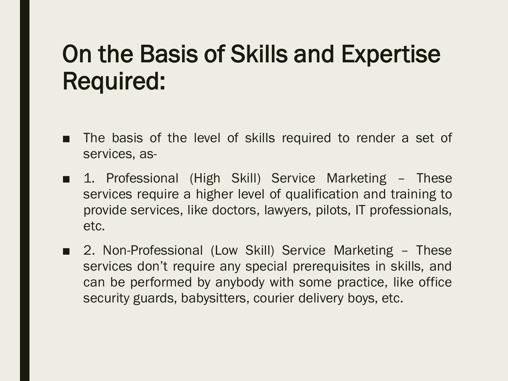### On the Basis of Skills and Expertise Required:

- The basis of the level of skills required to render a set of services, as-
- 1. Professional (High Skill) Service Marketing These services require a higher level of qualification and training to provide services, like doctors, lawyers, pilots, IT professionals, etc.
- 2. Non-Professional (Low Skill) Service Marketing These services don't require any special prerequisites in skills, and can be performed by anybody with some practice, like office security guards, babysitters, courier delivery boys, etc.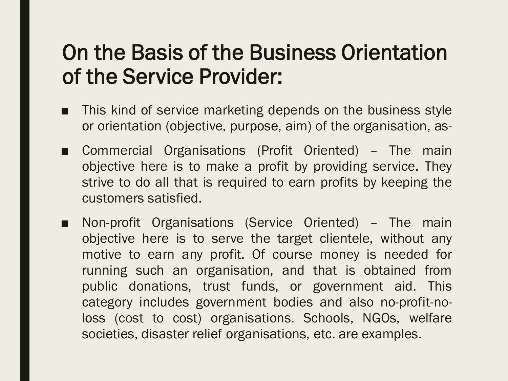#### On the Basis of the Business Orientation of the Service Provider:

- This kind of service marketing depends on the business style or orientation (objective, purpose, aim) of the organisation, as-
- Commercial Organisations (Profit Oriented) The main objective here is to make a profit by providing service. They strive to do all that is required to earn profits by keeping the customers satisfied.
- Non-profit Organisations (Service Oriented) The main objective here is to serve the target clientele, without any motive to earn any profit. Of course money is needed for running such an organisation, and that is obtained from public donations, trust funds, or government aid. This category includes government bodies and also no-profit-noloss (cost to cost) organisations. Schools, NGOs, welfare societies, disaster relief organisations, etc. are examples.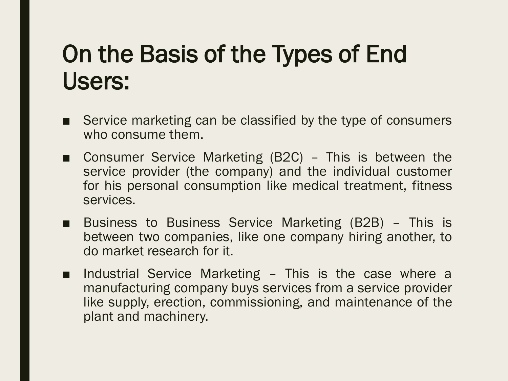### On the Basis of the Types of End Users:

- Service marketing can be classified by the type of consumers who consume them.
- Consumer Service Marketing (B2C) This is between the service provider (the company) and the individual customer for his personal consumption like medical treatment, fitness services.
- Business to Business Service Marketing (B2B) This is between two companies, like one company hiring another, to do market research for it.
- Industrial Service Marketing This is the case where a manufacturing company buys services from a service provider like supply, erection, commissioning, and maintenance of the plant and machinery.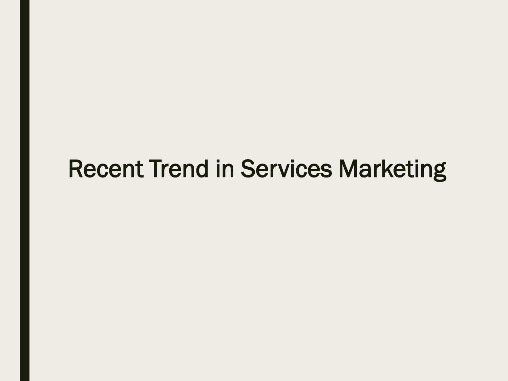#### Recent Trend in Services Marketing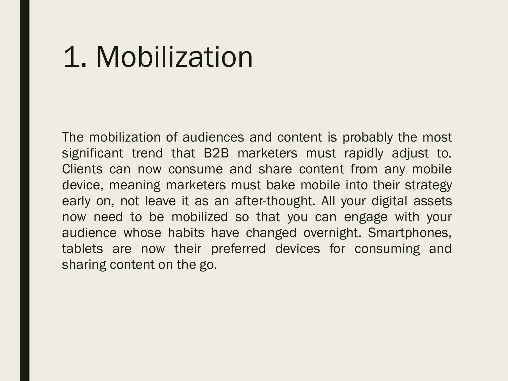## 1. Mobilization

The mobilization of audiences and content is probably the most significant trend that B2B marketers must rapidly adjust to. Clients can now consume and share content from any mobile device, meaning marketers must bake mobile into their strategy early on, not leave it as an after-thought. All your digital assets now need to be mobilized so that you can engage with your audience whose habits have changed overnight. Smartphones, tablets are now their preferred devices for consuming and sharing content on the go.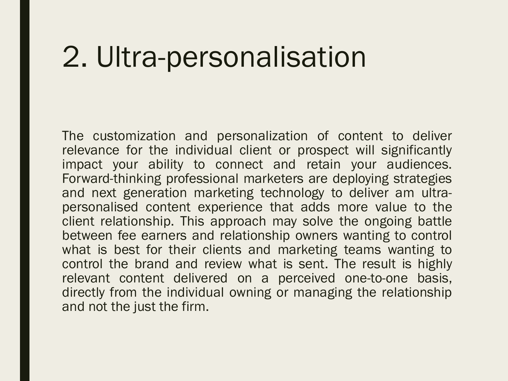## 2. Ultra-personalisation

The customization and personalization of content to deliver relevance for the individual client or prospect will significantly impact your ability to connect and retain your audiences. Forward-thinking professional marketers are deploying strategies and next generation marketing technology to deliver am ultrapersonalised content experience that adds more value to the client relationship. This approach may solve the ongoing battle between fee earners and relationship owners wanting to control what is best for their clients and marketing teams wanting to control the brand and review what is sent. The result is highly relevant content delivered on a perceived one-to-one basis, directly from the individual owning or managing the relationship and not the just the firm.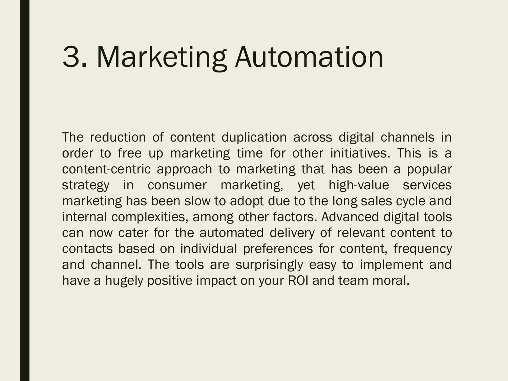# 3. Marketing Automation

The reduction of content duplication across digital channels in order to free up marketing time for other initiatives. This is a content-centric approach to marketing that has been a popular strategy in consumer marketing, yet high-value services marketing has been slow to adopt due to the long sales cycle and internal complexities, among other factors. Advanced digital tools can now cater for the automated delivery of relevant content to contacts based on individual preferences for content, frequency and channel. The tools are surprisingly easy to implement and have a hugely positive impact on your ROI and team moral.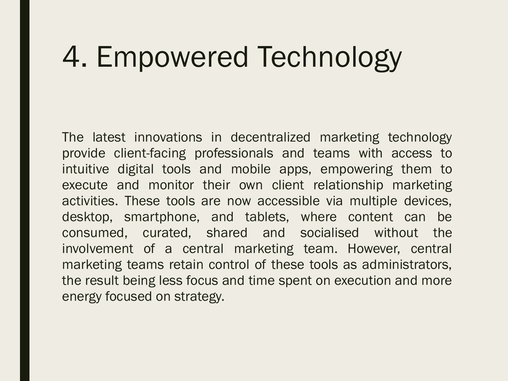# 4. Empowered Technology

The latest innovations in decentralized marketing technology provide client-facing professionals and teams with access to intuitive digital tools and mobile apps, empowering them to execute and monitor their own client relationship marketing activities. These tools are now accessible via multiple devices, desktop, smartphone, and tablets, where content can be consumed, curated, shared and socialised without the involvement of a central marketing team. However, central marketing teams retain control of these tools as administrators, the result being less focus and time spent on execution and more energy focused on strategy.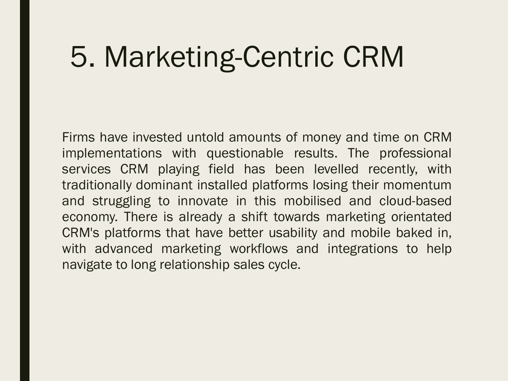# 5. Marketing-Centric CRM

Firms have invested untold amounts of money and time on CRM implementations with questionable results. The professional services CRM playing field has been levelled recently, with traditionally dominant installed platforms losing their momentum and struggling to innovate in this mobilised and cloud-based economy. There is already a shift towards marketing orientated CRM's platforms that have better usability and mobile baked in, with advanced marketing workflows and integrations to help navigate to long relationship sales cycle.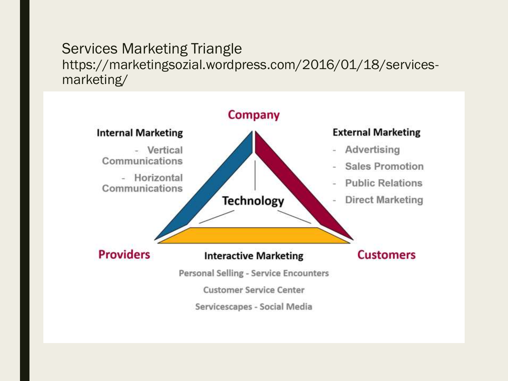#### Services Marketing Triangle https://marketingsozial.wordpress.com/2016/01/18/servicesmarketing/

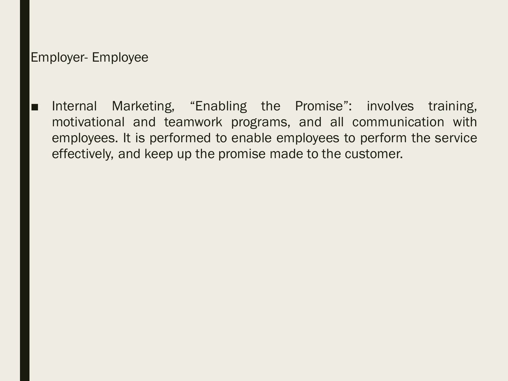#### Employer- Employee

■ Internal Marketing, "Enabling the Promise": involves training, motivational and teamwork programs, and all communication with employees. It is performed to enable employees to perform the service effectively, and keep up the promise made to the customer.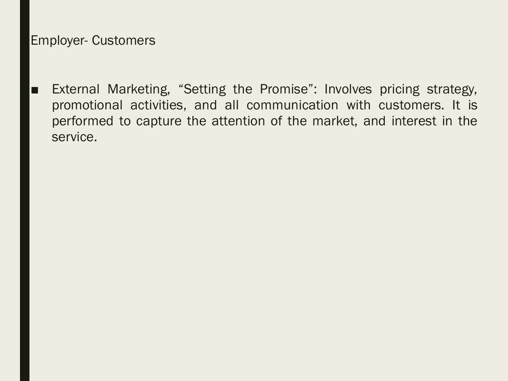#### Employer- Customers

■ External Marketing, "Setting the Promise": Involves pricing strategy, promotional activities, and all communication with customers. It is performed to capture the attention of the market, and interest in the service.